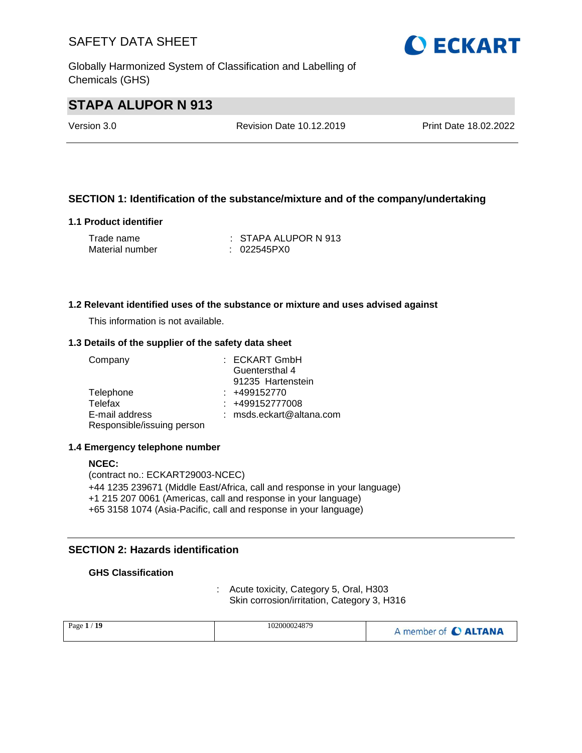Globally Harmonized System of Classification and Labelling of Chemicals (GHS)

# **O ECKART**

# **STAPA ALUPOR N 913**

Version 3.0 Revision Date 10.12.2019 Print Date 18.02.2022

#### **SECTION 1: Identification of the substance/mixture and of the company/undertaking**

#### **1.1 Product identifier**

| Trade name      | $\pm$ STAPA ALUPOR N 913 |
|-----------------|--------------------------|
| Material number | : 022545PX0              |

#### **1.2 Relevant identified uses of the substance or mixture and uses advised against**

This information is not available.

#### **1.3 Details of the supplier of the safety data sheet**

| Company                    | : ECKART GmbH              |
|----------------------------|----------------------------|
|                            | Guentersthal 4             |
|                            | 91235 Hartenstein          |
| Telephone                  | $: +499152770$             |
| Telefax                    | $: +499152777008$          |
| E-mail address             | $:$ msds.eckart@altana.com |
| Responsible/issuing person |                            |

#### **1.4 Emergency telephone number**

#### **NCEC:** (contract no.: ECKART29003-NCEC) +44 1235 239671 (Middle East/Africa, call and response in your language) +1 215 207 0061 (Americas, call and response in your language) +65 3158 1074 (Asia-Pacific, call and response in your language)

#### **SECTION 2: Hazards identification**

#### **GHS Classification**

: Acute toxicity, Category 5, Oral, H303 Skin corrosion/irritation, Category 3, H316

| Page $1/19$ | 102000024879 | A member of C ALTANA |
|-------------|--------------|----------------------|
|-------------|--------------|----------------------|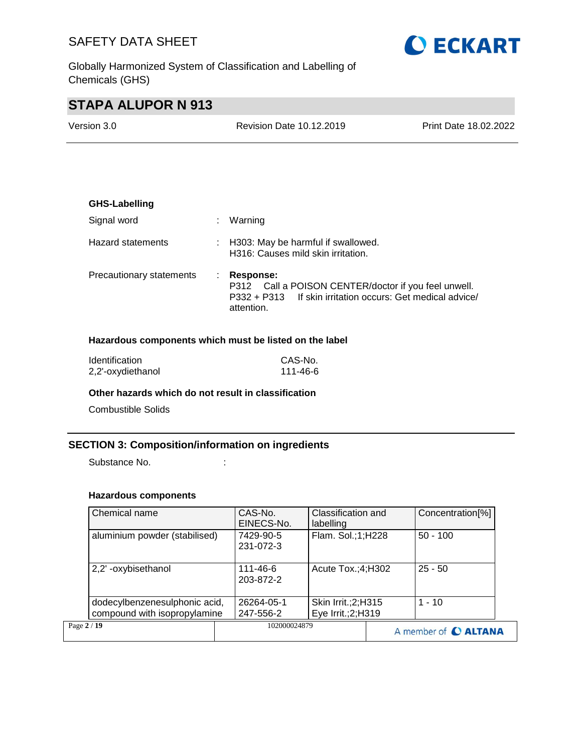

Globally Harmonized System of Classification and Labelling of Chemicals (GHS)

# **STAPA ALUPOR N 913**

Version 3.0 Revision Date 10.12.2019 Print Date 18.02.2022

| <b>GHS-Labelling</b>     |    |                                                                                                                                                      |
|--------------------------|----|------------------------------------------------------------------------------------------------------------------------------------------------------|
| Signal word              | ÷. | Warning                                                                                                                                              |
| Hazard statements        |    | : H303: May be harmful if swallowed.<br>H316: Causes mild skin irritation.                                                                           |
| Precautionary statements |    | <b>Response:</b><br>P312 Call a POISON CENTER/doctor if you feel unwell.<br>P332 + P313 If skin irritation occurs: Get medical advice/<br>attention. |

#### **Hazardous components which must be listed on the label**

| <b>Identification</b> | CAS-No.  |
|-----------------------|----------|
| 2,2'-oxydiethanol     | 111-46-6 |

#### **Other hazards which do not result in classification**

Combustible Solids

#### **SECTION 3: Composition/information on ingredients**

Substance No. **:** :

#### **Hazardous components**

| Chemical name                                                 | CAS-No.<br>EINECS-No.       | Classification and<br>labelling             | Concentration <sup>[%]</sup> |
|---------------------------------------------------------------|-----------------------------|---------------------------------------------|------------------------------|
| aluminium powder (stabilised)                                 | 7429-90-5<br>231-072-3      | Flam. Sol.;1;H228                           | $50 - 100$                   |
| 2,2' -oxybisethanol                                           | $111 - 46 - 6$<br>203-872-2 | Acute Tox.;4;H302                           | $25 - 50$                    |
| dodecylbenzenesulphonic acid,<br>compound with isopropylamine | 26264-05-1<br>247-556-2     | Skin Irrit.; 2; H315<br>Eye Irrit.; 2; H319 | $1 - 10$                     |
| Page 2 / 19                                                   | 102000024879                |                                             | A member of C ALTANA         |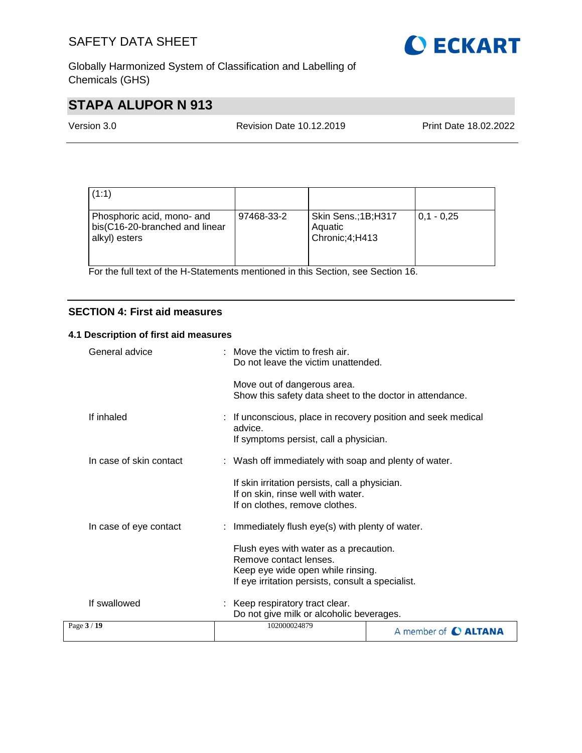

Globally Harmonized System of Classification and Labelling of Chemicals (GHS)

# **STAPA ALUPOR N 913**

Version 3.0 Revision Date 10.12.2019 Print Date 18.02.2022

| (1:1)                                                                         |            |                                                   |              |
|-------------------------------------------------------------------------------|------------|---------------------------------------------------|--------------|
| Phosphoric acid, mono- and<br>bis(C16-20-branched and linear<br>alkyl) esters | 97468-33-2 | Skin Sens.; 1B; H317<br>Aquatic<br>Chronic;4;H413 | $0.1 - 0.25$ |

For the full text of the H-Statements mentioned in this Section, see Section 16.

#### **SECTION 4: First aid measures**

#### **4.1 Description of first aid measures**

| General advice          | Move the victim to fresh air.<br>Do not leave the victim unattended.                                                                                       |
|-------------------------|------------------------------------------------------------------------------------------------------------------------------------------------------------|
|                         | Move out of dangerous area.<br>Show this safety data sheet to the doctor in attendance.                                                                    |
| If inhaled              | : If unconscious, place in recovery position and seek medical<br>advice.<br>If symptoms persist, call a physician.                                         |
| In case of skin contact | : Wash off immediately with soap and plenty of water.                                                                                                      |
|                         | If skin irritation persists, call a physician.<br>If on skin, rinse well with water.<br>If on clothes, remove clothes.                                     |
| In case of eye contact  | : Immediately flush eye(s) with plenty of water.                                                                                                           |
|                         | Flush eyes with water as a precaution.<br>Remove contact lenses.<br>Keep eye wide open while rinsing.<br>If eye irritation persists, consult a specialist. |
| If swallowed            | : Keep respiratory tract clear.<br>Do not give milk or alcoholic beverages.                                                                                |
| Page 3 / 19             | 102000024879<br>A member of C ALTANA                                                                                                                       |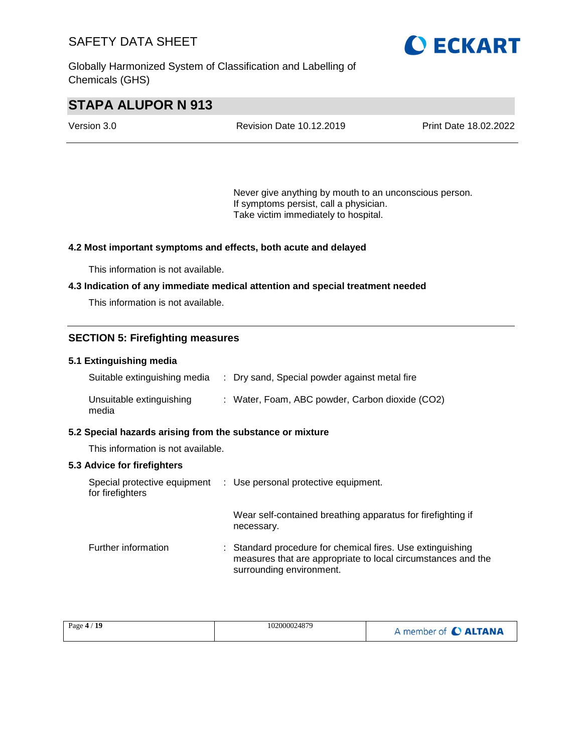Globally Harmonized System of Classification and Labelling of Chemicals (GHS)



# **STAPA ALUPOR N 913**

| Version 3.0 | <b>Revision Date 10.12.2019</b> | <b>Print Date 18.02.2022</b> |
|-------------|---------------------------------|------------------------------|
|             |                                 |                              |

Never give anything by mouth to an unconscious person. If symptoms persist, call a physician. Take victim immediately to hospital.

#### **4.2 Most important symptoms and effects, both acute and delayed**

This information is not available.

#### **4.3 Indication of any immediate medical attention and special treatment needed**

This information is not available.

#### **SECTION 5: Firefighting measures**

#### **5.1 Extinguishing media**

| Suitable extinguishing media      | : Dry sand, Special powder against metal fire   |
|-----------------------------------|-------------------------------------------------|
| Unsuitable extinguishing<br>media | : Water, Foam, ABC powder, Carbon dioxide (CO2) |

#### **5.2 Special hazards arising from the substance or mixture**

This information is not available.

#### **5.3 Advice for firefighters**

| for firefighters    | Special protective equipment : Use personal protective equipment.                                                                                      |
|---------------------|--------------------------------------------------------------------------------------------------------------------------------------------------------|
|                     | Wear self-contained breathing apparatus for firefighting if<br>necessary.                                                                              |
| Further information | : Standard procedure for chemical fires. Use extinguishing<br>measures that are appropriate to local circumstances and the<br>surrounding environment. |

|--|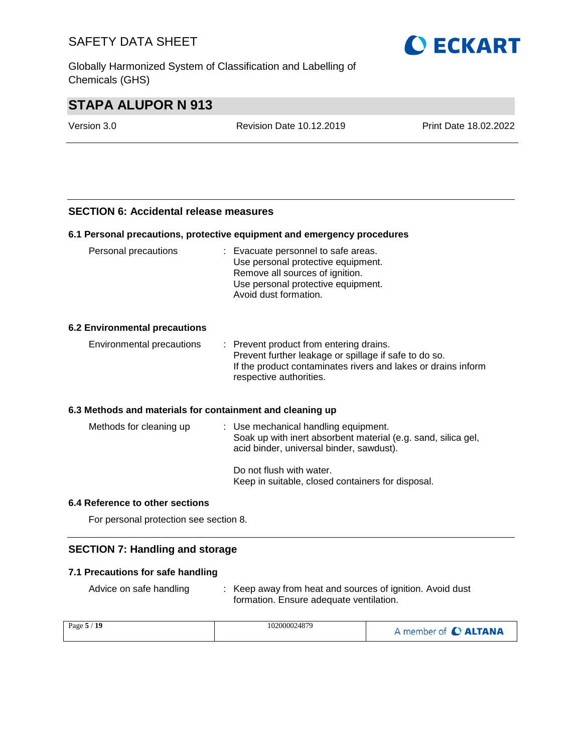Globally Harmonized System of Classification and Labelling of Chemicals (GHS)



# **STAPA ALUPOR N 913**

Version 3.0 Revision Date 10.12.2019 Print Date 18.02.2022

#### **SECTION 6: Accidental release measures**

#### **6.1 Personal precautions, protective equipment and emergency procedures**

| Personal precautions                                      | : Evacuate personnel to safe areas.<br>Use personal protective equipment.<br>Remove all sources of ignition.<br>Use personal protective equipment.<br>Avoid dust formation.                  |
|-----------------------------------------------------------|----------------------------------------------------------------------------------------------------------------------------------------------------------------------------------------------|
| <b>6.2 Environmental precautions</b>                      |                                                                                                                                                                                              |
| Environmental precautions                                 | : Prevent product from entering drains.<br>Prevent further leakage or spillage if safe to do so.<br>If the product contaminates rivers and lakes or drains inform<br>respective authorities. |
| 6.3 Methods and materials for containment and cleaning up |                                                                                                                                                                                              |
| Methods for cleaning up                                   | : Use mechanical handling equipment.<br>Soak up with inert absorbent material (e.g. sand, silica gel,<br>acid binder, universal binder, sawdust).                                            |
|                                                           | Do not flush with water.<br>Keep in suitable, closed containers for disposal.                                                                                                                |

#### **6.4 Reference to other sections**

For personal protection see section 8.

#### **SECTION 7: Handling and storage**

#### **7.1 Precautions for safe handling**

Advice on safe handling : Keep away from heat and sources of ignition. Avoid dust formation. Ensure adequate ventilation.

| Page 5 / 19 | 102000024879 | A member of C ALTANA |
|-------------|--------------|----------------------|
|-------------|--------------|----------------------|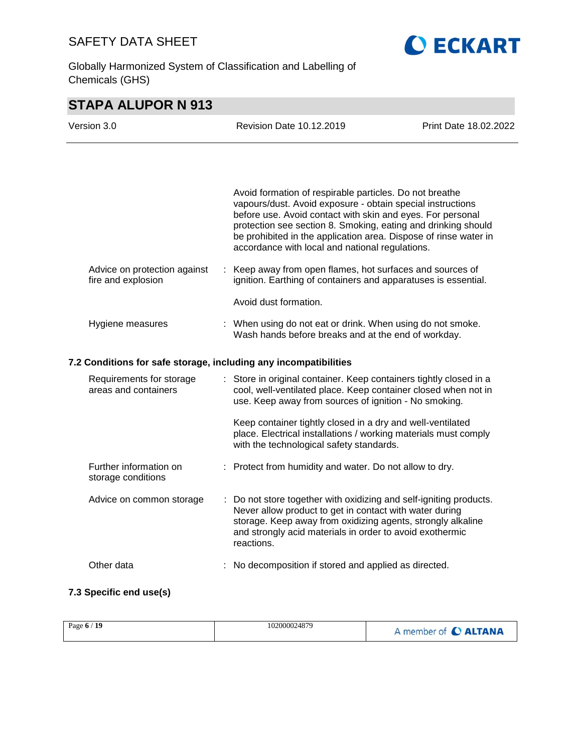Globally Harmonized System of Classification and Labelling of Chemicals (GHS)



# **STAPA ALUPOR N 913**

| Version 3.0                                                      | <b>Revision Date 10.12.2019</b>                                                                                                                                                                                                                                                                                                                                             | Print Date 18.02.2022 |
|------------------------------------------------------------------|-----------------------------------------------------------------------------------------------------------------------------------------------------------------------------------------------------------------------------------------------------------------------------------------------------------------------------------------------------------------------------|-----------------------|
|                                                                  |                                                                                                                                                                                                                                                                                                                                                                             |                       |
|                                                                  | Avoid formation of respirable particles. Do not breathe<br>vapours/dust. Avoid exposure - obtain special instructions<br>before use. Avoid contact with skin and eyes. For personal<br>protection see section 8. Smoking, eating and drinking should<br>be prohibited in the application area. Dispose of rinse water in<br>accordance with local and national regulations. |                       |
| Advice on protection against<br>fire and explosion               | : Keep away from open flames, hot surfaces and sources of<br>ignition. Earthing of containers and apparatuses is essential.                                                                                                                                                                                                                                                 |                       |
|                                                                  | Avoid dust formation.                                                                                                                                                                                                                                                                                                                                                       |                       |
| Hygiene measures                                                 | : When using do not eat or drink. When using do not smoke.<br>Wash hands before breaks and at the end of workday.                                                                                                                                                                                                                                                           |                       |
| 7.2 Conditions for safe storage, including any incompatibilities |                                                                                                                                                                                                                                                                                                                                                                             |                       |
| Requirements for storage<br>areas and containers                 | : Store in original container. Keep containers tightly closed in a<br>cool, well-ventilated place. Keep container closed when not in<br>use. Keep away from sources of ignition - No smoking.                                                                                                                                                                               |                       |
|                                                                  | Keep container tightly closed in a dry and well-ventilated<br>place. Electrical installations / working materials must comply<br>with the technological safety standards.                                                                                                                                                                                                   |                       |
| Further information on<br>storage conditions                     | : Protect from humidity and water. Do not allow to dry.                                                                                                                                                                                                                                                                                                                     |                       |
| Advice on common storage                                         | : Do not store together with oxidizing and self-igniting products.<br>Never allow product to get in contact with water during<br>storage. Keep away from oxidizing agents, strongly alkaline<br>and strongly acid materials in order to avoid exothermic<br>reactions.                                                                                                      |                       |
| Other data                                                       | No decomposition if stored and applied as directed.                                                                                                                                                                                                                                                                                                                         |                       |
| 7.3 Specific end use(s)                                          |                                                                                                                                                                                                                                                                                                                                                                             |                       |

| Page 6 / 19 | 102000024879 | member of C ALTANA |
|-------------|--------------|--------------------|
|-------------|--------------|--------------------|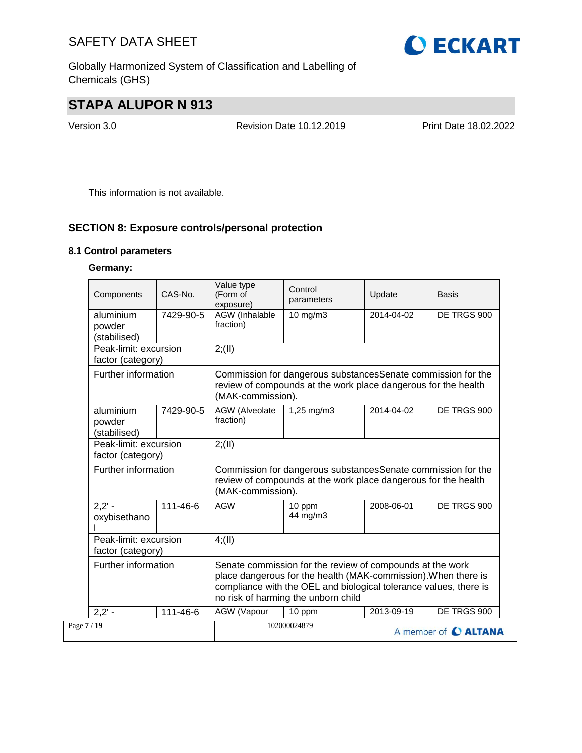Globally Harmonized System of Classification and Labelling of Chemicals (GHS)

# **STAPA ALUPOR N 913**

Version 3.0 Revision Date 10.12.2019 Print Date 18.02.2022

This information is not available.

### **SECTION 8: Exposure controls/personal protection**

#### **8.1 Control parameters**

### **Germany:**

| Components                                 | CAS-No.   | Value type<br>(Form of<br>exposure)                                                                                                                  | Control<br>parameters                                                                                                                                                                                                                   | Update     | <b>Basis</b>         |  |  |
|--------------------------------------------|-----------|------------------------------------------------------------------------------------------------------------------------------------------------------|-----------------------------------------------------------------------------------------------------------------------------------------------------------------------------------------------------------------------------------------|------------|----------------------|--|--|
| aluminium<br>powder<br>(stabilised)        | 7429-90-5 | AGW (Inhalable<br>fraction)                                                                                                                          | 10 mg/m3                                                                                                                                                                                                                                | 2014-04-02 | DE TRGS 900          |  |  |
| Peak-limit: excursion<br>factor (category) |           | 2; (II)                                                                                                                                              |                                                                                                                                                                                                                                         |            |                      |  |  |
| Further information                        |           | (MAK-commission).                                                                                                                                    | Commission for dangerous substancesSenate commission for the<br>review of compounds at the work place dangerous for the health                                                                                                          |            |                      |  |  |
| aluminium<br>powder<br>(stabilised)        | 7429-90-5 | AGW (Alveolate<br>fraction)                                                                                                                          | 1,25 mg/m3                                                                                                                                                                                                                              | 2014-04-02 | DE TRGS 900          |  |  |
| Peak-limit: excursion<br>factor (category) |           | 2; (II)                                                                                                                                              |                                                                                                                                                                                                                                         |            |                      |  |  |
| Further information                        |           | Commission for dangerous substances Senate commission for the<br>review of compounds at the work place dangerous for the health<br>(MAK-commission). |                                                                                                                                                                                                                                         |            |                      |  |  |
| $2,2' -$<br>oxybisethano                   | 111-46-6  | <b>AGW</b>                                                                                                                                           | 10 ppm<br>44 mg/m3                                                                                                                                                                                                                      | 2008-06-01 | DE TRGS 900          |  |  |
| Peak-limit: excursion<br>factor (category) |           | 4(11)                                                                                                                                                |                                                                                                                                                                                                                                         |            |                      |  |  |
| Further information                        |           |                                                                                                                                                      | Senate commission for the review of compounds at the work<br>place dangerous for the health (MAK-commission). When there is<br>compliance with the OEL and biological tolerance values, there is<br>no risk of harming the unborn child |            |                      |  |  |
| $2,2' -$                                   | 111-46-6  | AGW (Vapour                                                                                                                                          | 10 ppm                                                                                                                                                                                                                                  | 2013-09-19 | DE TRGS 900          |  |  |
| Page 7 / 19                                |           |                                                                                                                                                      | 102000024879                                                                                                                                                                                                                            |            | A member of C ALTANA |  |  |

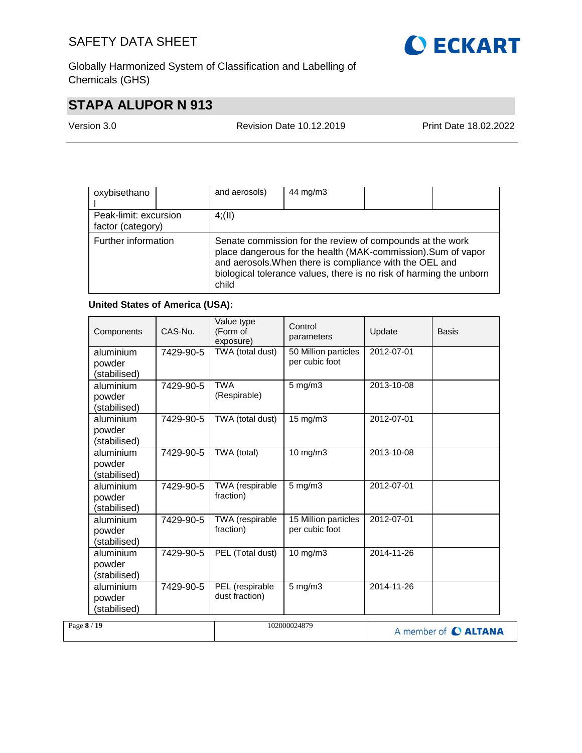

Globally Harmonized System of Classification and Labelling of Chemicals (GHS)

# **STAPA ALUPOR N 913**

Version 3.0 Revision Date 10.12.2019 Print Date 18.02.2022

| oxybisethano                               | 44 mg/m3<br>and aerosols)                                                                                                                                                                                                                                             |
|--------------------------------------------|-----------------------------------------------------------------------------------------------------------------------------------------------------------------------------------------------------------------------------------------------------------------------|
| Peak-limit: excursion<br>factor (category) | 4(11)                                                                                                                                                                                                                                                                 |
| Further information                        | Senate commission for the review of compounds at the work<br>place dangerous for the health (MAK-commission). Sum of vapor<br>and aerosols. When there is compliance with the OEL and<br>biological tolerance values, there is no risk of harming the unborn<br>child |

#### **United States of America (USA):**

|             | Components                          | CAS-No.   | Value type<br>(Form of<br>exposure) | Control<br>parameters                  | Update     | <b>Basis</b>         |
|-------------|-------------------------------------|-----------|-------------------------------------|----------------------------------------|------------|----------------------|
|             | aluminium<br>powder<br>(stabilised) | 7429-90-5 | TWA (total dust)                    | 50 Million particles<br>per cubic foot | 2012-07-01 |                      |
|             | aluminium<br>powder<br>(stabilised) | 7429-90-5 | <b>TWA</b><br>(Respirable)          | 5 mg/m3                                | 2013-10-08 |                      |
|             | aluminium<br>powder<br>(stabilised) | 7429-90-5 | TWA (total dust)                    | 15 mg/m3                               | 2012-07-01 |                      |
|             | aluminium<br>powder<br>(stabilised) | 7429-90-5 | TWA (total)                         | 10 mg/m3                               | 2013-10-08 |                      |
|             | aluminium<br>powder<br>(stabilised) | 7429-90-5 | TWA (respirable<br>fraction)        | 5 mg/m3                                | 2012-07-01 |                      |
|             | aluminium<br>powder<br>(stabilised) | 7429-90-5 | TWA (respirable<br>fraction)        | 15 Million particles<br>per cubic foot | 2012-07-01 |                      |
|             | aluminium<br>powder<br>(stabilised) | 7429-90-5 | PEL (Total dust)                    | 10 mg/m3                               | 2014-11-26 |                      |
|             | aluminium<br>powder<br>(stabilised) | 7429-90-5 | PEL (respirable<br>dust fraction)   | $5$ mg/m $3$                           | 2014-11-26 |                      |
| Page 8 / 19 |                                     |           |                                     | 102000024879                           |            | A member of C ALTANA |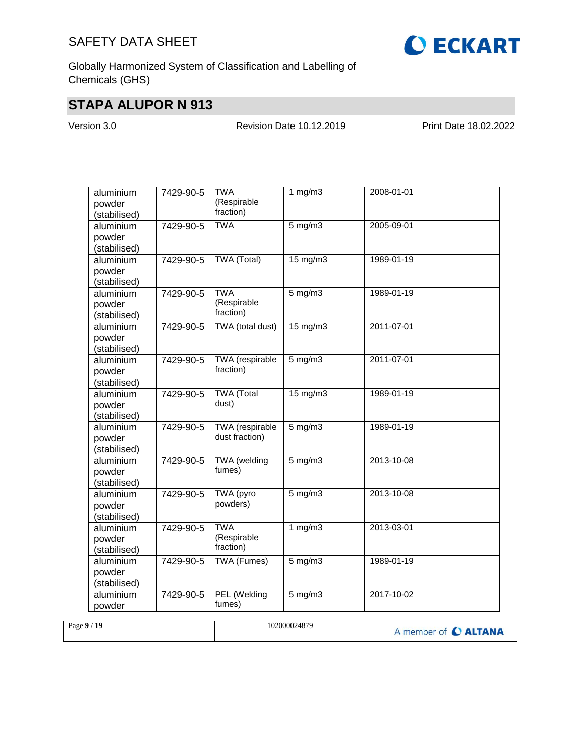

Globally Harmonized System of Classification and Labelling of Chemicals (GHS)

# **STAPA ALUPOR N 913**

Version 3.0 Revision Date 10.12.2019 Print Date 18.02.2022

| aluminium<br>powder<br>(stabilised) | <b>TWA</b><br>7429-90-5<br>(Respirable<br>fraction) |                                        |              |            | 1 $mg/m3$ | 2008-01-01 |  |
|-------------------------------------|-----------------------------------------------------|----------------------------------------|--------------|------------|-----------|------------|--|
| aluminium<br>powder<br>(stabilised) | 7429-90-5                                           | <b>TWA</b>                             | $5$ mg/m $3$ | 2005-09-01 |           |            |  |
| aluminium<br>powder<br>(stabilised) | 7429-90-5                                           | <b>TWA (Total)</b>                     | 15 mg/m3     | 1989-01-19 |           |            |  |
| aluminium<br>powder<br>(stabilised) | 7429-90-5                                           | <b>TWA</b><br>(Respirable<br>fraction) | $5$ mg/m $3$ | 1989-01-19 |           |            |  |
| aluminium<br>powder<br>(stabilised) | 7429-90-5                                           | TWA (total dust)                       | 15 mg/m3     | 2011-07-01 |           |            |  |
| aluminium<br>powder<br>(stabilised) | 7429-90-5                                           | TWA (respirable<br>fraction)           | $5$ mg/m $3$ | 2011-07-01 |           |            |  |
| aluminium<br>powder<br>(stabilised) | 7429-90-5                                           | <b>TWA</b> (Total<br>dust)             | 15 mg/m3     | 1989-01-19 |           |            |  |
| aluminium<br>powder<br>(stabilised) | 7429-90-5                                           | TWA (respirable<br>dust fraction)      | $5$ mg/m $3$ | 1989-01-19 |           |            |  |
| aluminium<br>powder<br>(stabilised) | 7429-90-5                                           | <b>TWA</b> (welding<br>fumes)          | $5$ mg/m $3$ | 2013-10-08 |           |            |  |
| aluminium<br>powder<br>(stabilised) | 7429-90-5                                           | TWA (pyro<br>powders)                  | $5$ mg/m $3$ | 2013-10-08 |           |            |  |
| aluminium<br>powder<br>(stabilised) | 7429-90-5                                           | <b>TWA</b><br>(Respirable<br>fraction) | 1 $mg/m3$    | 2013-03-01 |           |            |  |
| aluminium<br>powder<br>(stabilised) | 7429-90-5                                           | TWA (Fumes)                            | $5$ mg/m $3$ | 1989-01-19 |           |            |  |
| aluminium<br>powder                 | 7429-90-5                                           | PEL (Welding<br>fumes)                 | $5$ mg/m $3$ | 2017-10-02 |           |            |  |

| Page $9/19$ | 102000024879 | A member of C ALTANA |
|-------------|--------------|----------------------|
|             |              |                      |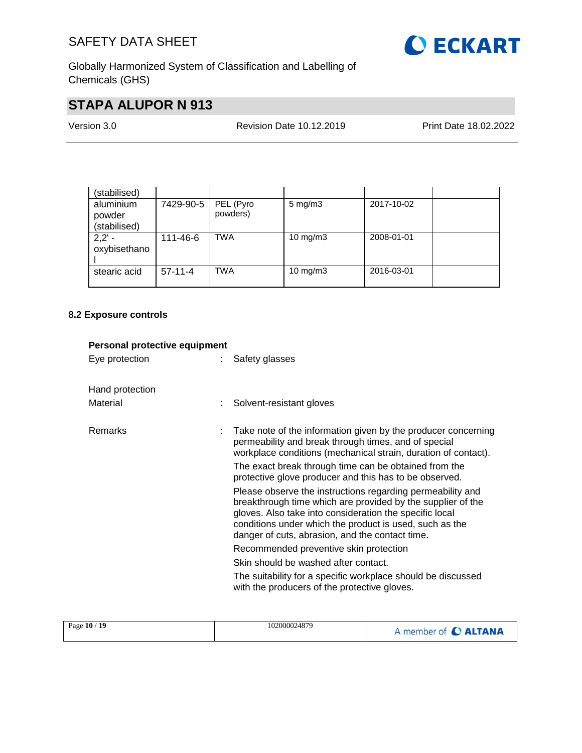

Globally Harmonized System of Classification and Labelling of Chemicals (GHS)

# **STAPA ALUPOR N 913**

| Version 3.0 | <b>Revision Date 10.12.2019</b> | Print Date 18.02.2022 |
|-------------|---------------------------------|-----------------------|
|             |                                 |                       |

| (stabilised)                        |           |                       |                    |            |  |
|-------------------------------------|-----------|-----------------------|--------------------|------------|--|
| aluminium<br>powder<br>(stabilised) | 7429-90-5 | PEL (Pyro<br>powders) | $5 \text{ mg/m}$ 3 | 2017-10-02 |  |
| $2,2'$ -<br>oxybisethano            | 111-46-6  | <b>TWA</b>            | 10 mg/m $3$        | 2008-01-01 |  |
| stearic acid                        | $57-11-4$ | <b>TWA</b>            | 10 mg/m $3$        | 2016-03-01 |  |

### **8.2 Exposure controls**

| Personal protective equipment |    |                                                                                                                                                                                                                                                                                                    |
|-------------------------------|----|----------------------------------------------------------------------------------------------------------------------------------------------------------------------------------------------------------------------------------------------------------------------------------------------------|
| Eye protection                | t. | Safety glasses                                                                                                                                                                                                                                                                                     |
| Hand protection               |    |                                                                                                                                                                                                                                                                                                    |
| Material                      |    | Solvent-resistant gloves                                                                                                                                                                                                                                                                           |
| <b>Remarks</b>                |    | Take note of the information given by the producer concerning<br>permeability and break through times, and of special<br>workplace conditions (mechanical strain, duration of contact).                                                                                                            |
|                               |    | The exact break through time can be obtained from the<br>protective glove producer and this has to be observed.                                                                                                                                                                                    |
|                               |    | Please observe the instructions regarding permeability and<br>breakthrough time which are provided by the supplier of the<br>gloves. Also take into consideration the specific local<br>conditions under which the product is used, such as the<br>danger of cuts, abrasion, and the contact time. |
|                               |    | Recommended preventive skin protection                                                                                                                                                                                                                                                             |
|                               |    | Skin should be washed after contact.                                                                                                                                                                                                                                                               |
|                               |    | The suitability for a specific workplace should be discussed<br>with the producers of the protective gloves.                                                                                                                                                                                       |
|                               |    |                                                                                                                                                                                                                                                                                                    |

| Page 10 / 19 | 102000024879 | A member of C ALTANA |
|--------------|--------------|----------------------|
|--------------|--------------|----------------------|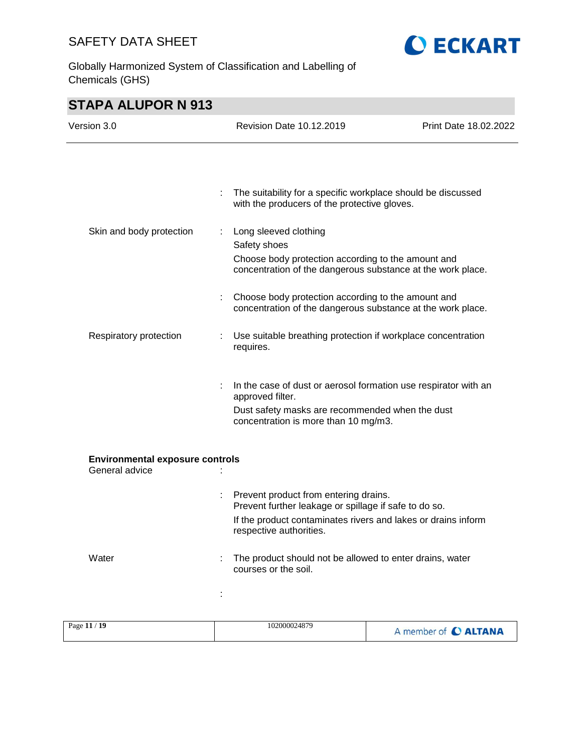Globally Harmonized System of Classification and Labelling of Chemicals (GHS)



| Version 3.0                                              |   | Revision Date 10.12.2019                                                                                                                                                                   | Print Date 18.02.2022 |
|----------------------------------------------------------|---|--------------------------------------------------------------------------------------------------------------------------------------------------------------------------------------------|-----------------------|
|                                                          |   |                                                                                                                                                                                            |                       |
|                                                          | ÷ | The suitability for a specific workplace should be discussed<br>with the producers of the protective gloves.                                                                               |                       |
| Skin and body protection<br>÷                            |   | Long sleeved clothing<br>Safety shoes<br>Choose body protection according to the amount and                                                                                                |                       |
|                                                          |   | concentration of the dangerous substance at the work place.                                                                                                                                |                       |
|                                                          |   | Choose body protection according to the amount and<br>concentration of the dangerous substance at the work place.                                                                          |                       |
| Respiratory protection                                   | ÷ | Use suitable breathing protection if workplace concentration<br>requires.                                                                                                                  |                       |
|                                                          |   | In the case of dust or aerosol formation use respirator with an<br>approved filter.<br>Dust safety masks are recommended when the dust<br>concentration is more than 10 mg/m3.             |                       |
| <b>Environmental exposure controls</b><br>General advice |   |                                                                                                                                                                                            |                       |
|                                                          |   | Prevent product from entering drains.<br>Prevent further leakage or spillage if safe to do so.<br>If the product contaminates rivers and lakes or drains inform<br>respective authorities. |                       |
| Water                                                    |   | The product should not be allowed to enter drains, water<br>courses or the soil.                                                                                                           |                       |
|                                                          |   |                                                                                                                                                                                            |                       |
| Page 11 / 19                                             |   | 102000024879                                                                                                                                                                               | A member of C ALTANA  |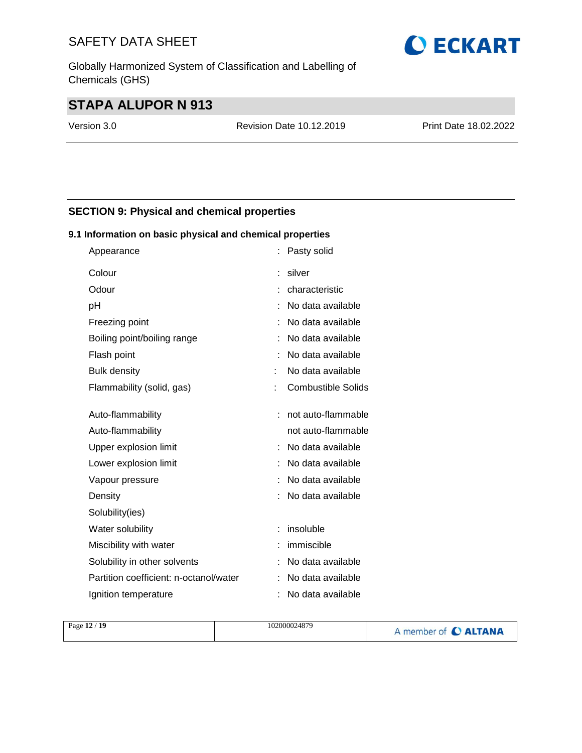Globally Harmonized System of Classification and Labelling of Chemicals (GHS)

# **STAPA ALUPOR N 913**

Version 3.0 Revision Date 10.12.2019 Print Date 18.02.2022

### **SECTION 9: Physical and chemical properties**

#### **9.1 Information on basic physical and chemical properties**

| Appearance                             | Pasty solid               |
|----------------------------------------|---------------------------|
| Colour                                 | silver                    |
| Odour                                  | characteristic            |
| pH                                     | No data available         |
| Freezing point                         | No data available         |
| Boiling point/boiling range            | No data available         |
| Flash point                            | No data available         |
| <b>Bulk density</b>                    | No data available         |
| Flammability (solid, gas)              | <b>Combustible Solids</b> |
|                                        |                           |
| Auto-flammability                      | not auto-flammable        |
| Auto-flammability                      | not auto-flammable        |
| Upper explosion limit                  | No data available         |
| Lower explosion limit                  | No data available         |
| Vapour pressure                        | No data available         |
| Density                                | No data available         |
| Solubility(ies)                        |                           |
| Water solubility                       | insoluble                 |
| Miscibility with water                 | immiscible                |
| Solubility in other solvents           | No data available         |
| Partition coefficient: n-octanol/water | No data available         |
| Ignition temperature                   | No data available         |

| Page 12 / 19<br>102000024879 | A member of C ALTANA |
|------------------------------|----------------------|
|------------------------------|----------------------|

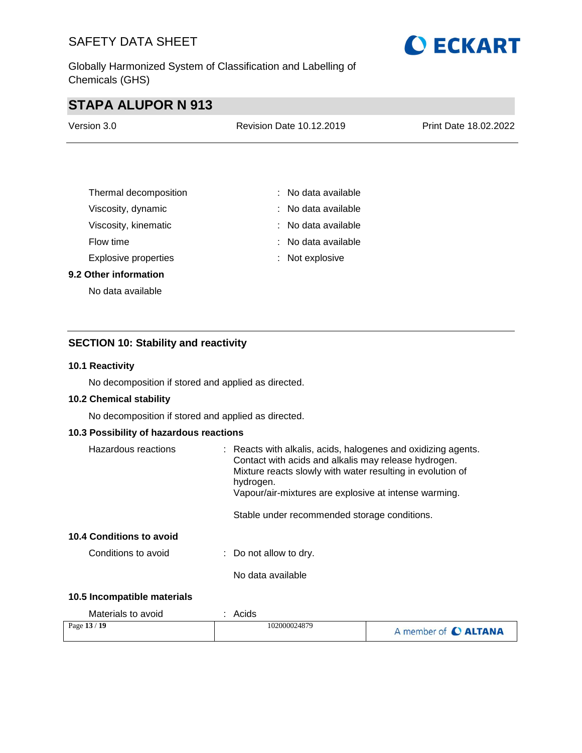Globally Harmonized System of Classification and Labelling of Chemicals (GHS)



# **STAPA ALUPOR N 913**

| Version 3.0 | Revision Date 10.12.2019 | Print Date 18.02.2022 |
|-------------|--------------------------|-----------------------|
|             |                          |                       |

| Thermal decomposition       | $:$ No data available |
|-----------------------------|-----------------------|
| Viscosity, dynamic          | $:$ No data available |
| Viscosity, kinematic        | $:$ No data available |
| Flow time                   | $:$ No data available |
| <b>Explosive properties</b> | : Not explosive       |

#### **9.2 Other information**

No data available

#### **SECTION 10: Stability and reactivity**

#### **10.1 Reactivity**

No decomposition if stored and applied as directed.

#### **10.2 Chemical stability**

No decomposition if stored and applied as directed.

#### **10.3 Possibility of hazardous reactions**

| Hazardous reactions      | : Reacts with alkalis, acids, halogenes and oxidizing agents.<br>Contact with acids and alkalis may release hydrogen.<br>Mixture reacts slowly with water resulting in evolution of<br>hydrogen.<br>Vapour/air-mixtures are explosive at intense warming.<br>Stable under recommended storage conditions. |
|--------------------------|-----------------------------------------------------------------------------------------------------------------------------------------------------------------------------------------------------------------------------------------------------------------------------------------------------------|
| 10.4 Conditions to avoid |                                                                                                                                                                                                                                                                                                           |
| Conditions to avoid      | $\therefore$ Do not allow to dry.                                                                                                                                                                                                                                                                         |
|                          | No data available                                                                                                                                                                                                                                                                                         |

#### **10.5 Incompatible materials**

| Materials to avoid | Acids        |                      |
|--------------------|--------------|----------------------|
| Page 13 / 19       | 102000024879 | A member of C ALTANA |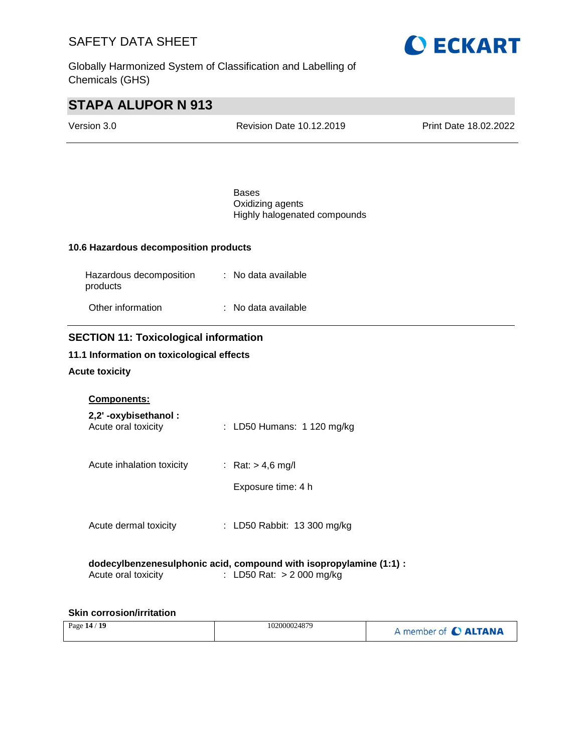Globally Harmonized System of Classification and Labelling of Chemicals (GHS)



# **STAPA ALUPOR N 913**

| Version 3.0                           | Revision Date 10.12.2019                                         | Print Date 18.02.2022 |
|---------------------------------------|------------------------------------------------------------------|-----------------------|
|                                       |                                                                  |                       |
|                                       |                                                                  |                       |
|                                       | <b>Bases</b><br>Oxidizing agents<br>Highly halogenated compounds |                       |
| 10.6 Hazardous decomposition products |                                                                  |                       |

| Hazardous decomposition<br>products | : No data available |
|-------------------------------------|---------------------|
| Other information                   | : No data available |

#### **SECTION 11: Toxicological information**

#### **11.1 Information on toxicological effects**

#### **Acute toxicity**

#### **Components:**

| 2,2'-oxybisethanol:<br>Acute oral toxicity | : LD50 Humans: 1 120 mg/kg                |
|--------------------------------------------|-------------------------------------------|
| Acute inhalation toxicity                  | : Rat: $> 4.6$ mg/l<br>Exposure time: 4 h |
| Acute dermal toxicity                      | : LD50 Rabbit: 13 300 mg/kg               |

#### **dodecylbenzenesulphonic acid, compound with isopropylamine (1:1) :** Acute oral toxicity : LD50 Rat: > 2 000 mg/kg

#### **Skin corrosion/irritation**

| Page 14 / 19 | 102000024879 | A member of C ALTANA |
|--------------|--------------|----------------------|
|--------------|--------------|----------------------|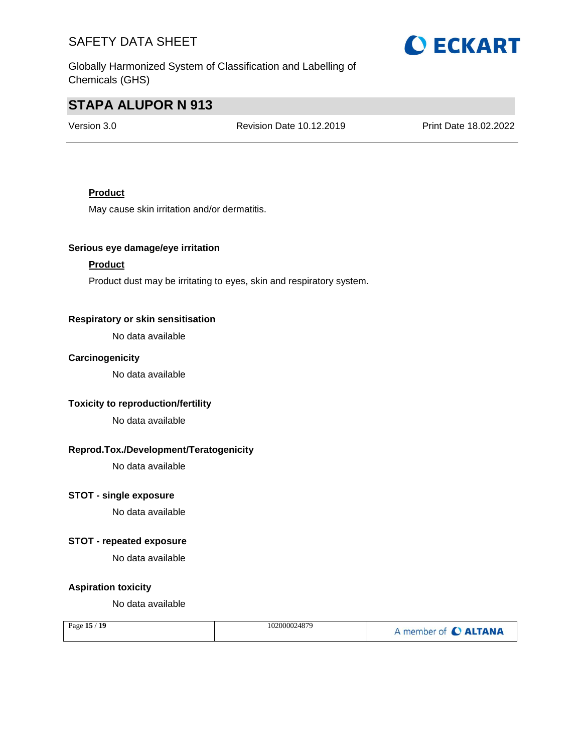Globally Harmonized System of Classification and Labelling of Chemicals (GHS)

# **O ECKART**

# **STAPA ALUPOR N 913**

Version 3.0 Revision Date 10.12.2019 Print Date 18.02.2022

#### **Product**

May cause skin irritation and/or dermatitis.

#### **Serious eye damage/eye irritation**

#### **Product**

Product dust may be irritating to eyes, skin and respiratory system.

#### **Respiratory or skin sensitisation**

No data available

#### **Carcinogenicity**

No data available

#### **Toxicity to reproduction/fertility**

No data available

#### **Reprod.Tox./Development/Teratogenicity**

No data available

#### **STOT - single exposure**

No data available

#### **STOT - repeated exposure**

No data available

#### **Aspiration toxicity**

No data available

| 19<br>Page 15 / | 102000024879 | A member of C ALTANA |
|-----------------|--------------|----------------------|
|-----------------|--------------|----------------------|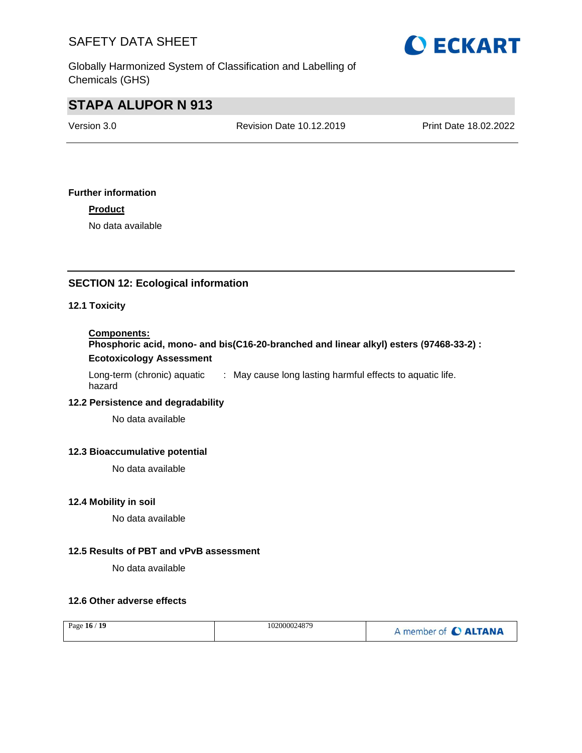

Globally Harmonized System of Classification and Labelling of Chemicals (GHS)

# **STAPA ALUPOR N 913**

Version 3.0 Revision Date 10.12.2019 Print Date 18.02.2022

#### **Further information**

**Product**

No data available

#### **SECTION 12: Ecological information**

#### **12.1 Toxicity**

#### **Components:**

**Phosphoric acid, mono- and bis(C16-20-branched and linear alkyl) esters (97468-33-2) : Ecotoxicology Assessment**

Long-term (chronic) aquatic hazard : May cause long lasting harmful effects to aquatic life.

#### **12.2 Persistence and degradability**

No data available

#### **12.3 Bioaccumulative potential**

No data available

#### **12.4 Mobility in soil**

No data available

#### **12.5 Results of PBT and vPvB assessment**

No data available

#### **12.6 Other adverse effects**

| Page 16 / 19 | 102000024879 | A member of C ALTANA |
|--------------|--------------|----------------------|
|--------------|--------------|----------------------|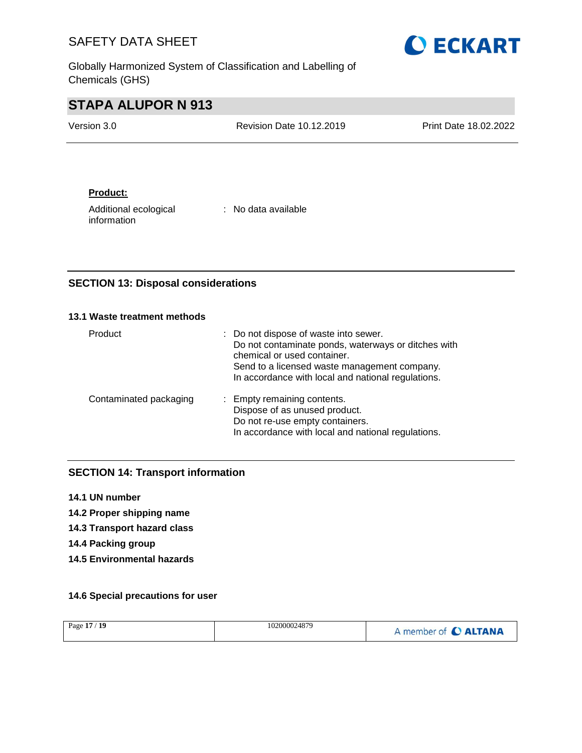**O ECKART** 

Globally Harmonized System of Classification and Labelling of Chemicals (GHS)

# **STAPA ALUPOR N 913**

| Version 3.0 | <b>Revision Date 10.12.2019</b> | <b>Print Date 18.02.2022</b> |
|-------------|---------------------------------|------------------------------|
|             |                                 |                              |

#### **Product:**

Additional ecological information

: No data available

#### **SECTION 13: Disposal considerations**

#### **13.1 Waste treatment methods**

| Product                | : Do not dispose of waste into sewer.<br>Do not contaminate ponds, waterways or ditches with<br>chemical or used container.<br>Send to a licensed waste management company.<br>In accordance with local and national regulations. |
|------------------------|-----------------------------------------------------------------------------------------------------------------------------------------------------------------------------------------------------------------------------------|
| Contaminated packaging | : Empty remaining contents.<br>Dispose of as unused product.<br>Do not re-use empty containers.<br>In accordance with local and national regulations.                                                                             |

### **SECTION 14: Transport information**

- **14.1 UN number**
- **14.2 Proper shipping name**
- **14.3 Transport hazard class**
- **14.4 Packing group**
- **14.5 Environmental hazards**

#### **14.6 Special precautions for user**

| Page 17 / 19 | 102000024879 | A member of C ALTANA |
|--------------|--------------|----------------------|
|              |              |                      |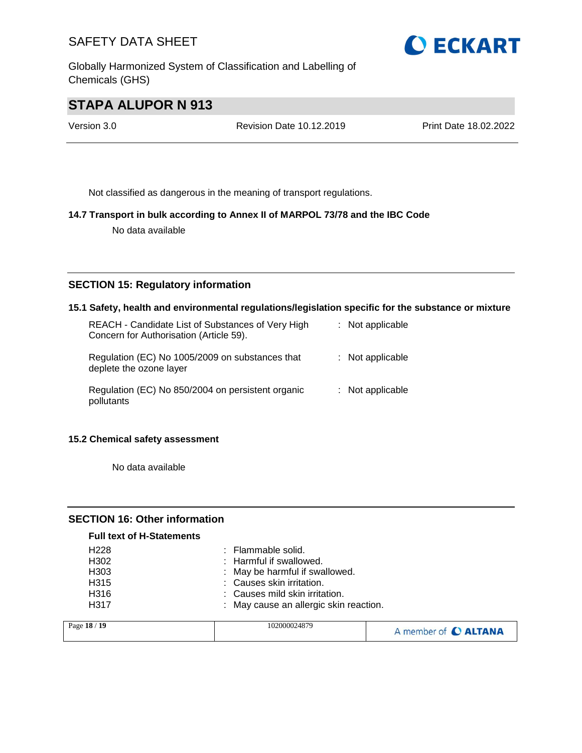Globally Harmonized System of Classification and Labelling of Chemicals (GHS)



# **STAPA ALUPOR N 913**

Version 3.0 Revision Date 10.12.2019 Print Date 18.02.2022

Not classified as dangerous in the meaning of transport regulations.

#### **14.7 Transport in bulk according to Annex II of MARPOL 73/78 and the IBC Code**

No data available

#### **SECTION 15: Regulatory information**

#### **15.1 Safety, health and environmental regulations/legislation specific for the substance or mixture**

| REACH - Candidate List of Substances of Very High<br>Concern for Authorisation (Article 59). | $:$ Not applicable |
|----------------------------------------------------------------------------------------------|--------------------|
| Regulation (EC) No 1005/2009 on substances that<br>deplete the ozone layer                   | $:$ Not applicable |
| Regulation (EC) No 850/2004 on persistent organic<br>pollutants                              | $:$ Not applicable |

#### **15.2 Chemical safety assessment**

No data available

#### **SECTION 16: Other information**

#### **Full text of H-Statements**

| H <sub>228</sub> | : Flammable solid.                     |
|------------------|----------------------------------------|
| H <sub>302</sub> | : Harmful if swallowed.                |
| H <sub>303</sub> | : May be harmful if swallowed.         |
| H <sub>315</sub> | : Causes skin irritation.              |
| H <sub>316</sub> | : Causes mild skin irritation.         |
| H317             | : May cause an allergic skin reaction. |
| $-10/10$         | 102000024970                           |

| Page 18 / 19 | 102000024879 | A member of C ALTANA |
|--------------|--------------|----------------------|
|--------------|--------------|----------------------|